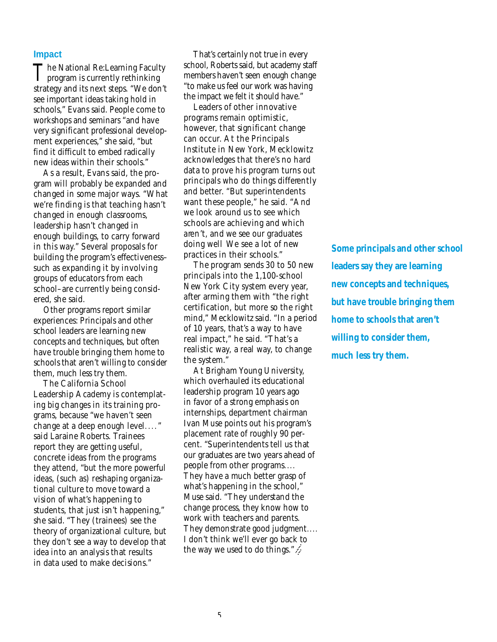#### **Impact**

The National Re:Learning Facult<br>program is currently rethinking The National Re: Learning Faculty strategy and its next steps. "We don't see important ideas taking hold in schools," Evans said. People come to workshops and seminars "and have very significant professional development experiences," she said, "but find it difficult to embed radically new ideas within their schools."

As a result, Evans said, the program will probably be expanded and changed in some major ways. "What we're finding is that teaching hasn't changed in enough classrooms, leadership hasn't changed in enough buildings, to carry forward in this way." Several proposals for building the program's effectivenesssuch as expanding it by involving g roups of educators from each s chool-are currently being considered, she said.

Other programs report similar experiences: Principals and other school leaders are learning new concepts and techniques, but often have trouble bringing them home to schools that aren't willing to consider them, much less try them.

The California School Leadership Academy is contemplating big changes in its training programs, because "we haven't seen change at a deep enough level...." said Laraine Roberts. Trainees report they are getting useful, concrete ideas from the programs they attend, "but the more powerful ideas, (such as) reshaping organizational culture to move toward a vision of what's happening to students, that just isn't happening," she said. "They (trainees) see the theory of organizational culture, but they don't see a way to develop that idea into an analysis that results in data used to make decisions."

That's certainly not true in every school, Roberts said, but academy staff members haven't seen enough change "to make us feel our work was having the impact we felt it should have."

Leaders of other innovative p rograms remain optimistic, however, that significant change can occur. At the Principals Institute in New York, Mecklowitz acknowledges that there 's no hard data to prove his program turns out principals who do things differently and better. "But superintendents want these people," he said. "And we look around us to see which schools are achieving and which aren't, and we see our graduates doing well We see a lot of new practices in their schools."

The program sends 30 to 50 new principals into the 1,100-school New York City system every year, after arming them with "the right certification, but more so the right mind," Mecklowitz said. "In a period of 10 years, that's a way to have real impact," he said. "That's a realistic way, a real way, to change the system."

At Brigham Young University, which overhauled its educational leadership program 10 years ago in favor of a strong emphasis on internships, department chairman Ivan Muse points out his program's placement rate of roughly 90 percent. "Superintendents tell us that our graduates are two years ahead of people from other programs.... They have a much better grasp of what's happening in the school," Muse said. "They understand the change process, they know how to work with teachers and parents. They demonstrate good judgment.... I don't think we'll ever go back to the way we used to do things."  $\cancel{\mathcal{L}}$ 

*Some principals and other school leaders say they are learning new concepts and techniques, but have trouble bringing them home to schools that aren't willing to consider them, much less try them.*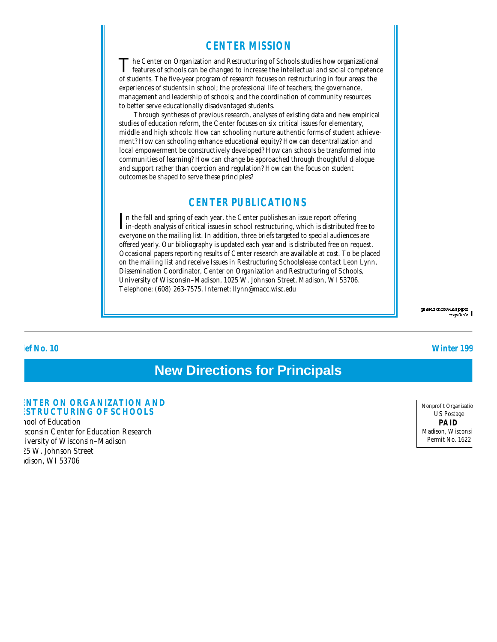#### **CENTER MISSION**

The Center on Organization and Restructuring of Schools studies how organizational features of schools can be changed to increase the intellectual and social competence The Center on Organization and Restructuring of Schools studies how organizational of students. The five-year program of research focuses on restructuring in four areas: the experiences of students in school; the professional life of teachers; the governance, management and leadership of schools; and the coordination of community resources to better serve educationally disadvantaged students.

Through syntheses of previous research, analyses of existing data and new empirical studies of education reform, the Center focuses on six critical issues for elementary, middle and high schools: How can schooling nurture authentic forms of student achievement? How can schooling enhance educational equity? How can decentralization and local empowerment be constructively developed? How can schools be transformed into communities of learning? How can change be approached through thoughtful dialogue and support rather than coercion and regulation? How can the focus on student outcomes be shaped to serve these principles?

## **CENTER PUBLICATIONS**

In the fall and spring of each year, the Center publishes an issue report offering in-depth analysis of critical issues in school restructuring, which is distributed f in-depth analysis of critical issues in school restructuring, which is distributed free to everyone on the mailing list. In addition, three briefs targeted to special audiences are offered yearly. Our bibliography is updated each year and is distributed free on request. Occasional papers reporting results of Center research are available at cost. To be placed on the mailing list and receive Issues in Restructuring Schoolplease contact Leon Lynn, Dissemination Coordinator, Center on Organization and Restructuring of Schools, University of Wisconsin–Madison, 1025 W. Johnson Street, Madison, WI 53706. Telephone: (608) 263-7575. Internet: llynn@macc.wisc.edu

> präded on recycled paper recyclable

#### **Brief No. 10 Winter 1994**

# **New Directions for Principals**

#### **ENTER ON ORGANIZATION AND ESTRUCTURING OF SCHOOLS**

nool of Education sconsin Center for Education Research iversity of Wisconsin-Madison 025 W. Johnson Street dison, WI 53706

Nonprofit Organizatic US Postage **PAID** Madison, Wisconsi Permit No. 1622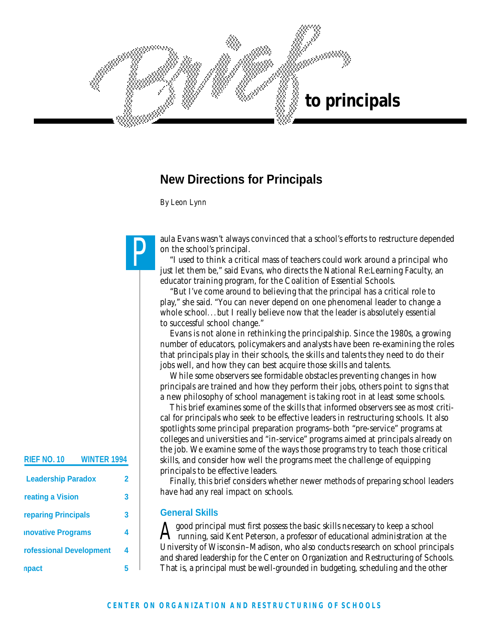

# **New Directions for Principals**

*By Leon Lynn*

P

aula Evans wasn't always convinced that a school's efforts to restructure depended on the school's principal.

"I used to think a critical mass of teachers could work around a principal who just let them be," said Evans, who directs the National Re:Learning Faculty, an educator training program, for the Coalition of Essential Schools.

"But I've come around to believing that the principal has a critical role to play," she said. "You can never depend on one phenomenal leader to change a whole school...but I really believe now that the leader is absolutely essential to successful school change."

Evans is not alone in rethinking the principalship. Since the 1980s, a growing number of educators, policymakers and analysts have been re-examining the roles that principals play in their schools, the skills and talents they need to do their jobs well, and how they can best acquire those skills and talents.

While some observers see formidable obstacles preventing changes in how principals are trained and how they perform their jobs, others point to signs that a new philosophy of school management is taking root in at least some schools.

This brief examines some of the skills that informed observers see as most critical for principals who seek to be effective leaders in restructuring schools. It also spotlights some principal preparation programs–both "pre-service" programs at colleges and universities and "in-service" programs aimed at principals already on the job. We examine some of the ways those programs try to teach those critical skills, and consider how well the programs meet the challenge of equipping principals to be effective leaders.

Finally, this brief considers whether newer methods of preparing school leaders have had any real impact on schools.

#### **General Skills**

 $A^{\epsilon}$ good principal must first possess the basic skills necessary to keep a school running, said Kent Peterson, a professor of educational administration at the University of Wisconsin–Madison, who also conducts research on school principals and shared leadership for the Center on Organization and Restructuring of Schools. That is, a principal must be well-grounded in budgeting, scheduling and the other

### **RIEF NO. 10 WINTER 1994**

| <b>Leadership Paradox</b> |   |
|---------------------------|---|
| reating a Vision          | 3 |
| reparing Principals       | 3 |
| <b>novative Programs</b>  | 4 |
| rofessional Development   | 4 |
| npa                       |   |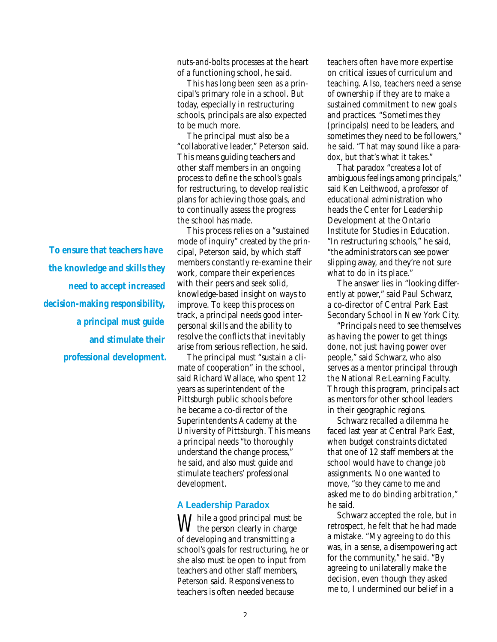nuts-and-bolts processes at the heart of a functioning school, he said.

This has long been seen as a principal's primary role in a school. But today, especially in restructuring schools, principals are also expected to be much more.

The principal must also be a "collaborative leader," Peterson said. This means guiding teachers and other staff members in an ongoing process to define the school's goals for restructuring, to develop realistic plans for achieving those goals, and to continually assess the progress the school has made.

This process relies on a "sustained mode of inquiry" created by the principal, Peterson said, by which staff members constantly re-examine their work, compare their experiences with their peers and seek solid, knowledge-based insight on ways to improve. To keep this process on track, a principal needs good interpersonal skills and the ability to resolve the conflicts that inevitably arise from serious reflection, he said.

The principal must "sustain a climate of cooperation" in the school, said Richard Wallace, who spent 12 years as superintendent of the Pittsburgh public schools before he became a co-director of the Superintendents Academy at the University of Pittsburgh. This means a principal needs "to thoroughly understand the change process," he said, and also must guide and stimulate teachers' professional development.

#### **A Leadership Paradox**

 $\bigvee$  hile a good principal must be I the person clearly in charge of developing and transmitting a school's goals for restructuring, he or she also must be open to input from teachers and other staff members, Peterson said. Responsiveness to teachers is often needed because

teachers often have more expertise on critical issues of curriculum and teaching. Also, teachers need a sense of ownership if they are to make a sustained commitment to new goals and practices. "Sometimes they (principals) need to be leaders, and sometimes they need to be followers," he said. "That may sound like a paradox, but that's what it takes."

That paradox "creates a lot of ambiguous feelings among principals," said Ken Leithwood, a professor of educational administration who heads the Center for Leadership Development at the Ontario Institute for Studies in Education. "In restructuring schools," he said, "the administrators can see power slipping away, and they're not sure what to do in its place."

The answer lies in "looking differently at power," said Paul Schwarz, a co-director of Central Park East Secondary School in New York City.

"Principals need to see themselves as having the power to get things done, not just having power over people," said Schwarz, who also serves as a mentor principal through the National Re:Learning Faculty. Through this program, principals act as mentors for other school leaders in their geographic regions.

Schwarz recalled a dilemma he faced last year at Central Park East, when budget constraints dictated that one of 12 staff members at the school would have to change job assignments. No one wanted to move, "so they came to me and asked me to do binding arbitration," he said.

Schwarz accepted the role, but in retrospect, he felt that he had made a mistake. "My agreeing to do this was, in a sense, a disempowering act for the community," he said. "By agreeing to unilaterally make the decision, even though they asked me to, I undermined our belief in a

*To ensure that teachers have the knowledge and skills they need to accept increased decision-making responsibility, a principal must guide and stimulate their professional development.*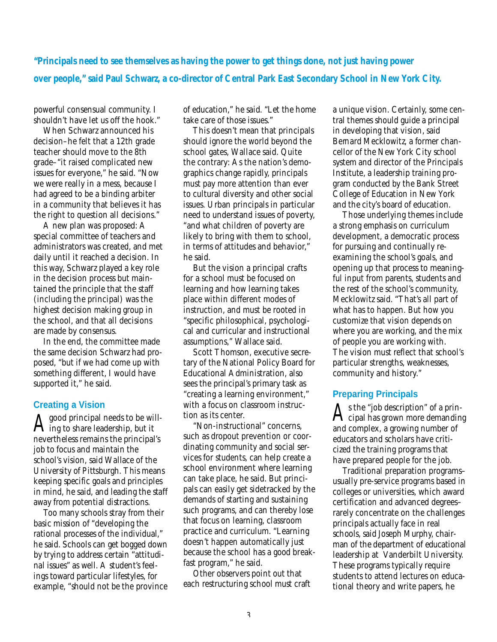*"Principals need to see themselves as having the power to get things done, not just having power over people," said Paul Schwarz, a co-director of Central Park East Secondary School in New York City.*

powerful consensual community. I shouldn't have let us off the hook."

When Schwarz announced his decision–he felt that a 12th grade teacher should move to the 8th grade–"it raised complicated new issues for everyone," he said. "Now we were really in a mess, because I had agreed to be a binding arbiter in a community that believes it has the right to question all decisions."

A new plan was proposed: A special committee of teachers and administrators was created, and met daily until it reached a decision. In this way, Schwarz played a key role in the decision process but maintained the principle that the staff (including the principal) was the highest decision making group in the school, and that all decisions are made by consensus.

In the end, the committee made the same decision Schwarz had proposed, "but if we had come up with something different, I would have supported it," he said.

#### **Creating a Vision**

 $\rm A$  good principal needs to be with  $\rm A$  ing to share leadership, but it good principal needs to be willnevertheless remains the principal's job to focus and maintain the school's vision, said Wallace of the University of Pittsburgh. This means keeping specific goals and principles in mind, he said, and leading the staff away from potential distractions.

Too many schools stray from their basic mission of "developing the rational processes of the individual," he said. Schools can get bogged down by trying to address certain "attitudinal issues" as well. A student's feelings toward particular lifestyles, for example, "should not be the province"

of education," he said. "Let the home take care of those issues."

This doesn't mean that principals should ignore the world beyond the school gates, Wallace said. Quite the contrary: As the nation's demographics change rapidly, principals must pay more attention than ever to cultural diversity and other social issues. Urban principals in particular need to understand issues of poverty, "and what children of poverty are likely to bring with them to school, in terms of attitudes and behavior," he said.

But the vision a principal crafts for a school must be focused on learning and how learning takes place within different modes of instruction, and must be rooted in "specific philosophical, psychological and curricular and instructional assumptions," Wallace said.

Scott Thomson, executive secretary of the National Policy Board for Educational Administration, also sees the principal's primary task as "creating a learning environment," with a focus on classroom instruction as its center.

"Non-instructional" concerns, such as dropout prevention or coordinating community and social services for students, can help create a school environment where learning can take place, he said. But principals can easily get sidetracked by the demands of starting and sustaining such programs, and can thereby lose that focus on learning, classroom practice and curriculum. "Learning doesn't happen automatically just because the school has a good breakfast program," he said.

Other observers point out that each restructuring school must craft a unique vision. Certainly, some central themes should guide a principal in developing that vision, said Bemard Mecklowitz, a former chancellor of the New York City school system and director of the Principals Institute, a leadership training program conducted by the Bank Street College of Education in New York and the city's board of education.

Those underlying themes include a strong emphasis on curriculum development, a democratic process for pursuing and continually reexamining the school's goals, and opening up that process to meaningful input from parents, students and the rest of the school's community, Mecklowitz said. "That's all part of what has to happen. But how you customize that vision depends on where you are working, and the mix of people you are working with. The vision must reflect that school's particular strengths, weaknesses, community and history."

#### **Preparing Principals**

 ${\rm A}$ s the "job description" of a prin-<br> ${\rm A}$ cipal has grown more demandin cipal has grown more demanding and complex, a growing number of educators and scholars have criticized the training programs that have prepared people for the job.

Traditional preparation programs– usually pre-service programs based in colleges or universities, which award certification and advanced degrees– rarely concentrate on the challenges principals actually face in real schools, said Joseph Murphy, chairman of the department of educational leadership at Vanderbilt University. These programs typically require students to attend lectures on educational theory and write papers, he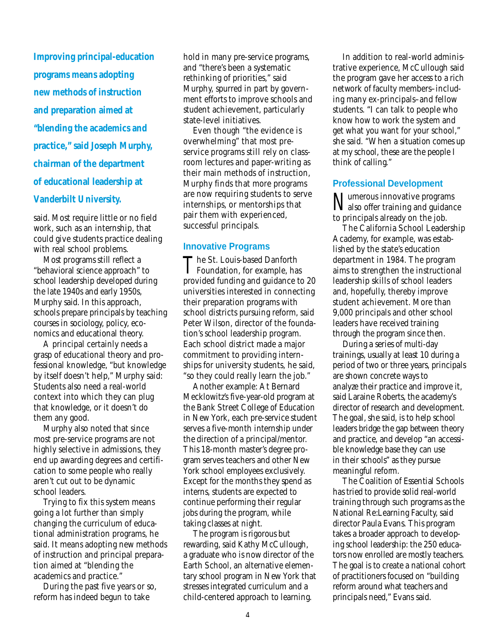*Improving principal-education programs means adopting new methods of instruction and preparation aimed at "blending the academics and practice," said Joseph Murphy, chairman of the department of educational leadership at Vanderbilt University.*

said. Most require little or no field work, such as an internship, that could give students practice dealing with real school problems.

Most programs still reflect a "behavioral science approach" to school leadership developed during the late 1940s and early 1950s, Murphy said. In this approach, schools prepare principals by teaching courses in sociology, policy, economics and educational theory.

A principal certainly needs a grasp of educational theory and professional knowledge, "but knowledge by itself doesn't help," Murphy said: Students also need a real-world context into which they can plug that knowledge, or it doesn't do them any good.

Murphy also noted that since most pre-service programs are not highly selective in admissions, they end up awarding degrees and certification to some people who really aren't cut out to be dynamic school leaders.

Trying to fix this system means going a lot further than simply changing the curriculum of educational administration programs, he said. It means adopting new methods of instruction and principal preparation aimed at "blending the academics and practice."

During the past five years or so, reform has indeed begun to take

hold in many pre-service programs, and "there's been a systematic rethinking of priorities," said Murphy, spurred in part by government efforts to improve schools and student achievement, particularly state-level initiatives.

Even though "the evidence is overwhelming" that most preservice programs still rely on classroom lectures and paper-writing as their main methods of instruction, Murphy finds that more programs are now requiring students to serve internships, or mentorships that pair them with experienced, successful principals.

#### **Innovative Programs**

The St. Louis-based Danforth<br>Foundation, for example, has The St. Louis-based Danforth provided funding and guidance to 20 universities interested in connecting their preparation programs with school districts pursuing reform, said Peter Wilson, director of the foundation's school leadership program. Each school district made a major commitment to providing internships for university students, he said, "so they could really learn the job."

Another example: At Bernard Mecklowitz's five-year-old program at the Bank Street College of Education in New York, each pre-service student serves a five-month internship under the direction of a principal/mentor. This 18-month master's degree program serves teachers and other New York school employees exclusively. Except for the months they spend as interns, students are expected to continue performing their regular jobs during the program, while taking classes at night.

The program is rigorous but rewarding, said Kathy McCullough, a graduate who is now director of the Earth School, an alternative elementary school program in New York that stresses integrated curriculum and a child-centered approach to learning.

In addition to real-world administrative experience, McCullough said the program gave her access to a rich network of faculty members–including many ex-principals–and fellow students. "I can talk to people who know how to work the system and get what you want for your school," she said. "When a situation comes up at my school, these are the people I think of calling."

#### **Professional Development**

N umerous innovative programs also offer training and guidance to principals already on the job.

The California School Leadership Academy, for example, was established by the state's education department in 1984. The program aims to strengthen the instructional leadership skills of school leaders and, hopefully, thereby improve student achievement. More than 9,000 principals and other school leaders have received training through the program since then.

During a series of multi-day trainings, usually at least 10 during a period of two or three years, principals are shown concrete ways to analyze their practice and improve it, said Laraine Roberts, the academy's director of research and development. The goal, she said, is to help school leaders bridge the gap between theory and practice, and develop "an accessible knowledge base they can use in their schools" as they pursue meaningful reform.

The Coalition of Essential Schools has tried to provide solid real-world training through such programs as the National Re:Learning Faculty, said director Paula Evans. This program takes a broader approach to developing school leadership: the 250 educators now enrolled are mostly teachers. The goal is to create a national cohort of practitioners focused on "building reform around what teachers and principals need," Evans said.